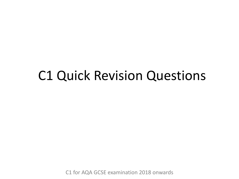### C1 Quick Revision Questions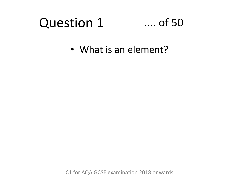### Question 1

### .... of 50

• What is an element?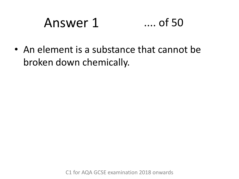# Answer 1 .... of 50

• An element is a substance that cannot be broken down chemically.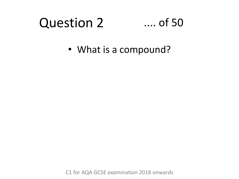#### Question 2 .... of 50

• What is a compound?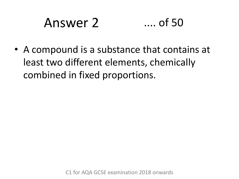# Answer 2 .... of 50

• A compound is a substance that contains at least two different elements, chemically combined in fixed proportions.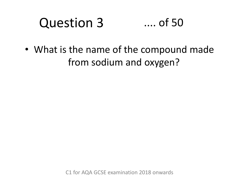#### Question 3 .... of 50

• What is the name of the compound made from sodium and oxygen?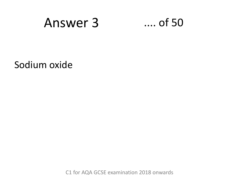

Sodium oxide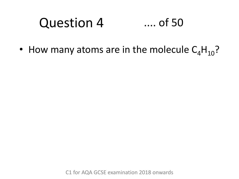#### Question 4 .... of 50

• How many atoms are in the molecule  $C_4H_{10}$ ?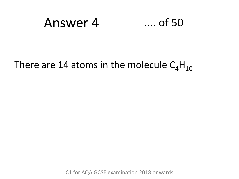### Answer 4 .... of 50

### There are 14 atoms in the molecule  $C_4H_{10}$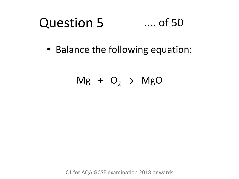#### Question 5 .... of 50

• Balance the following equation:

$$
Mg + O_2 \rightarrow MgO
$$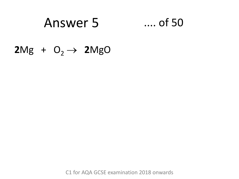### Answer 5 .... of 50

### $2Mg + O_2 \rightarrow 2MgO$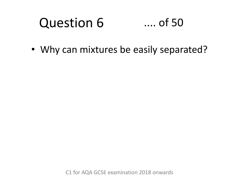#### Question 6 .... of 50

• Why can mixtures be easily separated?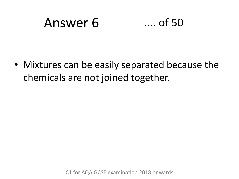## Answer 6 .... of 50

• Mixtures can be easily separated because the chemicals are not joined together.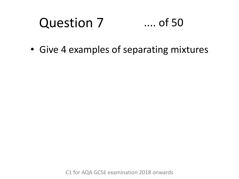#### Question 7 .... of 50

• Give 4 examples of separating mixtures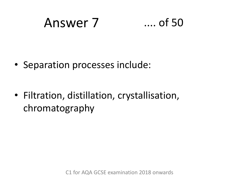### Answer 7 .... of 50

• Separation processes include:

• Filtration, distillation, crystallisation, chromatography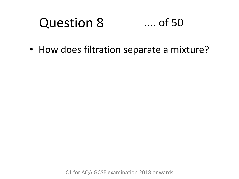#### Question 8 .... of 50

• How does filtration separate a mixture?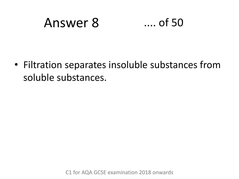### Answer 8 .... of 50

• Filtration separates insoluble substances from soluble substances.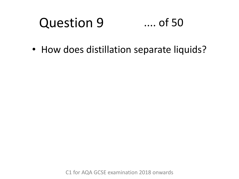#### Question 9 .... of 50

• How does distillation separate liquids?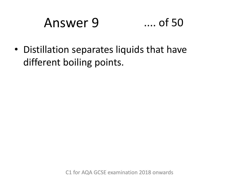### Answer 9 .... of 50

• Distillation separates liquids that have different boiling points.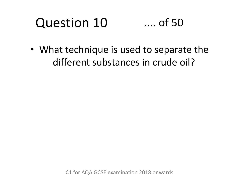### Question 10 .... of 50

• What technique is used to separate the different substances in crude oil?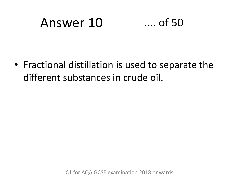# Answer 10 .... of 50

• Fractional distillation is used to separate the different substances in crude oil.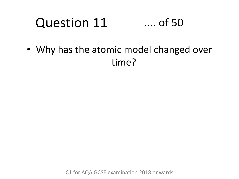#### Question 11 .... of 50

• Why has the atomic model changed over time?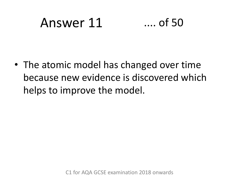### Answer 11 .... of 50

• The atomic model has changed over time because new evidence is discovered which helps to improve the model.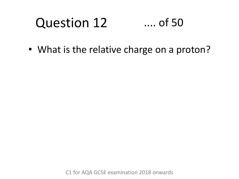### Question 12 .... of 50

• What is the relative charge on a proton?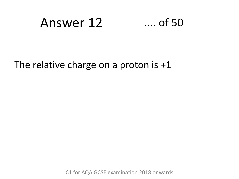### Answer 12 .... of 50

The relative charge on a proton is +1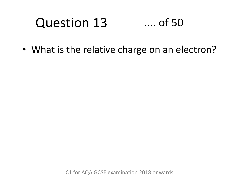#### Question 13 .... of 50

• What is the relative charge on an electron?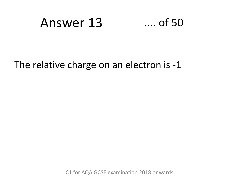### Answer 13 .... of 50

The relative charge on an electron is -1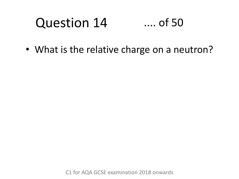#### Question 14 .... of 50

• What is the relative charge on a neutron?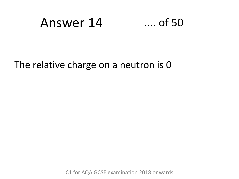### Answer 14 .... of 50

The relative charge on a neutron is 0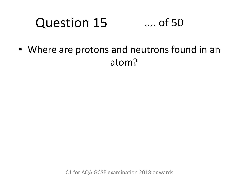#### Question 15 .... of 50

• Where are protons and neutrons found in an atom?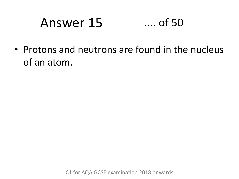# Answer 15 .... of 50

• Protons and neutrons are found in the nucleus of an atom.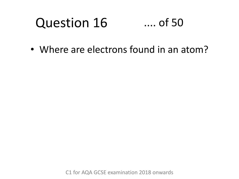#### Question 16 .... of 50

• Where are electrons found in an atom?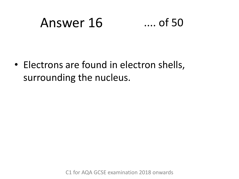# Answer 16 .... of 50

• Electrons are found in electron shells, surrounding the nucleus.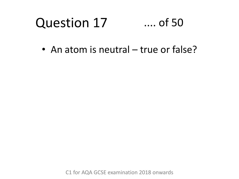#### Question 17 .... of 50

• An atom is neutral – true or false?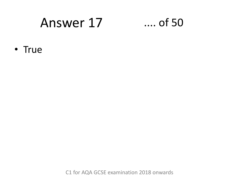### Answer 17 .... of 50

• True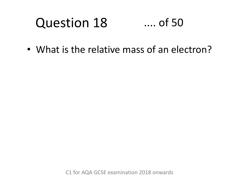#### Question 18 .... of 50

• What is the relative mass of an electron?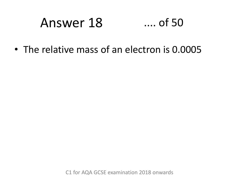# Answer 18 .... of 50

• The relative mass of an electron is 0.0005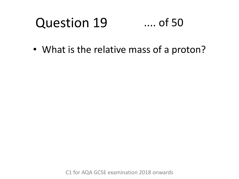#### Question 19 .... of 50

• What is the relative mass of a proton?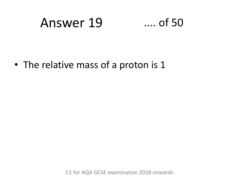### Answer 19 .... of 50

• The relative mass of a proton is 1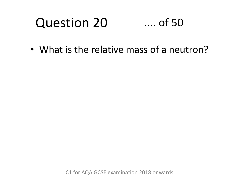#### Question 20 .... of 50

• What is the relative mass of a neutron?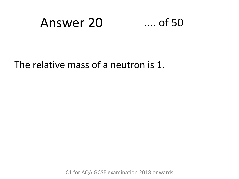### Answer 20 .... of 50

The relative mass of a neutron is 1.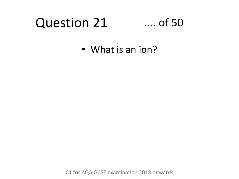#### Question 21 .... of 50

• What is an ion?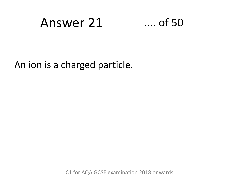### Answer 21 .... of 50

An ion is a charged particle.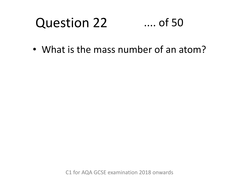#### Question 22 .... of 50

• What is the mass number of an atom?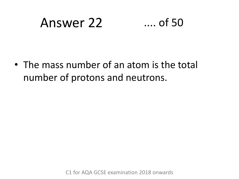### Answer 22 .... of 50

• The mass number of an atom is the total number of protons and neutrons.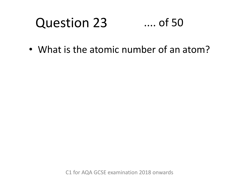#### Question 23 .... of 50

• What is the atomic number of an atom?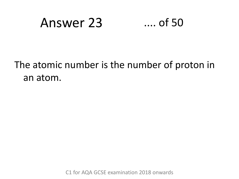### Answer 23 .... of 50

### The atomic number is the number of proton in an atom.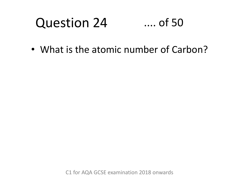#### Question 24 .... of 50

• What is the atomic number of Carbon?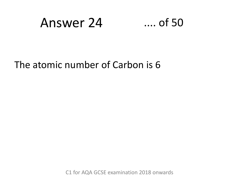### Answer 24 .... of 50

The atomic number of Carbon is 6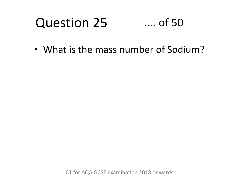#### Question 25 .... of 50

• What is the mass number of Sodium?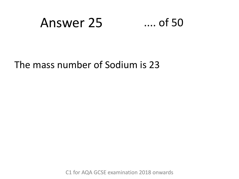### Answer 25 .... of 50

#### The mass number of Sodium is 23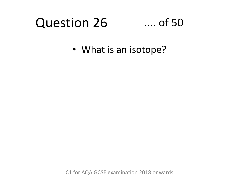### Question 26

### .... of 50

• What is an isotope?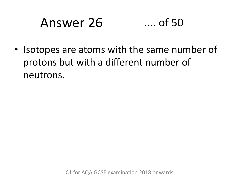# Answer 26 .... of 50

• Isotopes are atoms with the same number of protons but with a different number of neutrons.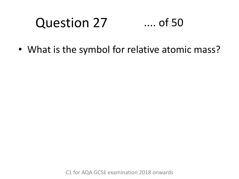#### Question 27 .... of 50

• What is the symbol for relative atomic mass?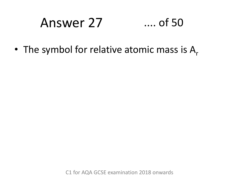# Answer 27 .... of 50

• The symbol for relative atomic mass is  $A_r$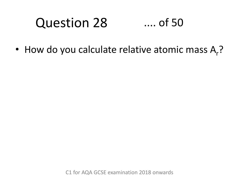#### Question 28 .... of 50

• How do you calculate relative atomic mass  $A_r$ ?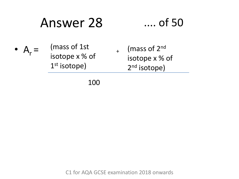### Answer 28 .... of 50

•  $A_r =$ (mass of 1st isotope x % of 1<sup>st</sup> isotope)  $+$ (mass of 2nd isotope x % of 2<sup>nd</sup> isotope)

100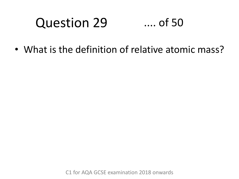#### Question 29 .... of 50

• What is the definition of relative atomic mass?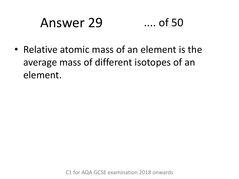### Answer 29 .... of 50

• Relative atomic mass of an element is the average mass of different isotopes of an element.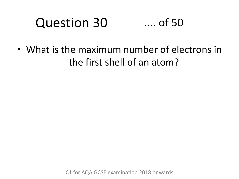#### Question 30 .... of 50

• What is the maximum number of electrons in the first shell of an atom?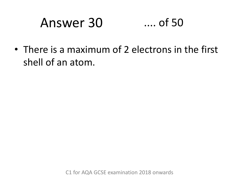# Answer 30 .... of 50

• There is a maximum of 2 electrons in the first shell of an atom.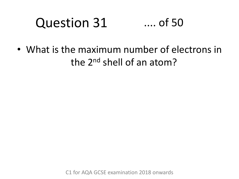#### Question 31 .... of 50

• What is the maximum number of electrons in the 2<sup>nd</sup> shell of an atom?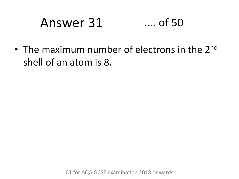# Answer 31 .... of 50

• The maximum number of electrons in the 2<sup>nd</sup> shell of an atom is 8.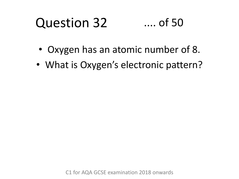#### Question 32 .... of 50

- Oxygen has an atomic number of 8.
- What is Oxygen's electronic pattern?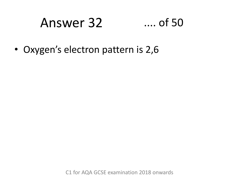# Answer 32 .... of 50

• Oxygen's electron pattern is 2,6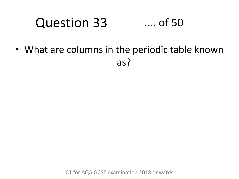#### Question 33 .... of 50

• What are columns in the periodic table known as?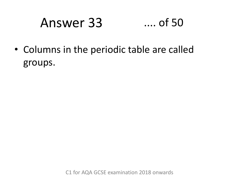### Answer 33 .... of 50

• Columns in the periodic table are called groups.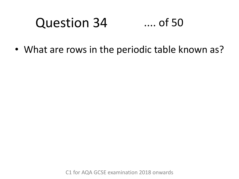#### Question 34 .... of 50

• What are rows in the periodic table known as?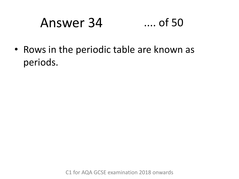# Answer 34 .... of 50

• Rows in the periodic table are known as periods.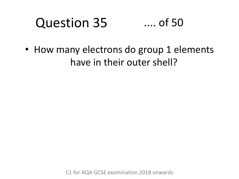#### Question 35 .... of 50

• How many electrons do group 1 elements have in their outer shell?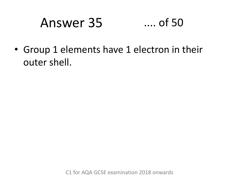### Answer 35 .... of 50

• Group 1 elements have 1 electron in their outer shell.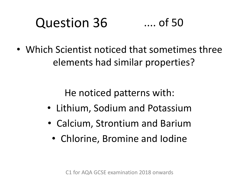#### Question 36 .... of 50

• Which Scientist noticed that sometimes three elements had similar properties?

He noticed patterns with:

- Lithium, Sodium and Potassium
- Calcium, Strontium and Barium
	- Chlorine, Bromine and Iodine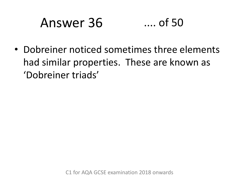# Answer 36 .... of 50

• Dobreiner noticed sometimes three elements had similar properties. These are known as 'Dobreiner triads'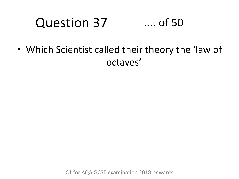### Question 37 .... of 50

• Which Scientist called their theory the 'law of octaves'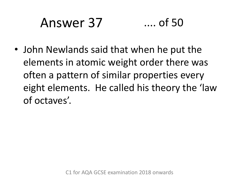# Answer 37 .... of 50

• John Newlands said that when he put the elements in atomic weight order there was often a pattern of similar properties every eight elements. He called his theory the 'law of octaves'.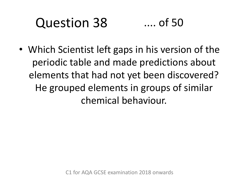#### Question 38 .... of 50

• Which Scientist left gaps in his version of the periodic table and made predictions about elements that had not yet been discovered? He grouped elements in groups of similar chemical behaviour.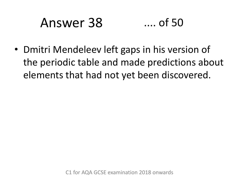# Answer 38 .... of 50

• Dmitri Mendeleev left gaps in his version of the periodic table and made predictions about elements that had not yet been discovered.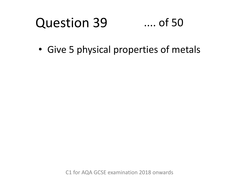#### Question 39 .... of 50

• Give 5 physical properties of metals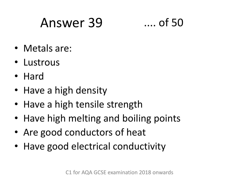### Answer 39 .... of 50

- Metals are:
- Lustrous
- Hard
- Have a high density
- Have a high tensile strength
- Have high melting and boiling points
- Are good conductors of heat
- Have good electrical conductivity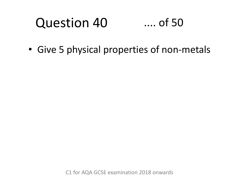#### Question 40 .... of 50

• Give 5 physical properties of non-metals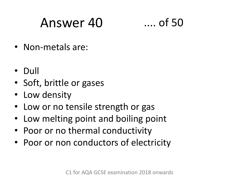### Answer 40 .... of 50

- Non-metals are:
- Dull
- Soft, brittle or gases
- Low density
- Low or no tensile strength or gas
- Low melting point and boiling point
- Poor or no thermal conductivity
- Poor or non conductors of electricity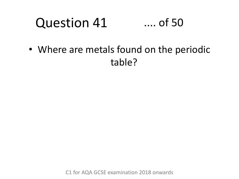#### Question 41 .... of 50

• Where are metals found on the periodic table?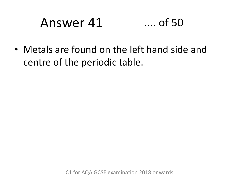### Answer 41 .... of 50

• Metals are found on the left hand side and centre of the periodic table.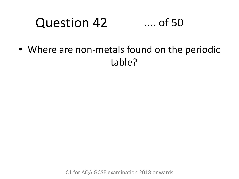#### Question 42 .... of 50

• Where are non-metals found on the periodic table?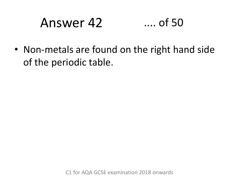# Answer 42 .... of 50

• Non-metals are found on the right hand side of the periodic table.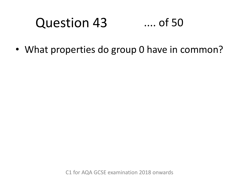#### Question 43 .... of 50

• What properties do group 0 have in common?

C1 for AQA GCSE examination 2018 onwards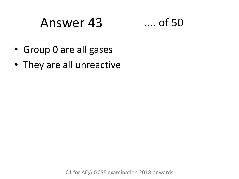### Answer 43 .... of 50



- Group 0 are all gases
- They are all unreactive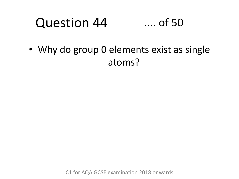#### Question 44 .... of 50

• Why do group 0 elements exist as single atoms?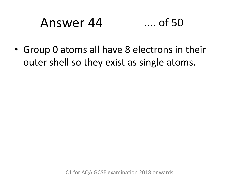### Answer 44 .... of 50

• Group 0 atoms all have 8 electrons in their outer shell so they exist as single atoms.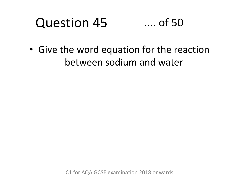#### Question 45 .... of 50

• Give the word equation for the reaction between sodium and water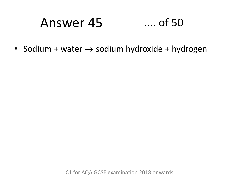# Answer 45 .... of 50

• Sodium + water  $\rightarrow$  sodium hydroxide + hydrogen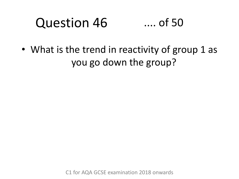#### Question 46 .... of 50

• What is the trend in reactivity of group 1 as you go down the group?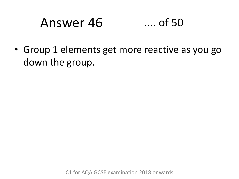# Answer 46 .... of 50

• Group 1 elements get more reactive as you go down the group.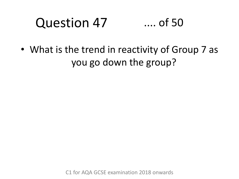#### Question 47 .... of 50

• What is the trend in reactivity of Group 7 as you go down the group?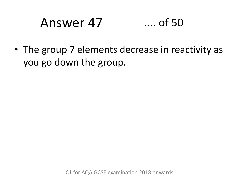### Answer 47 .... of 50

• The group 7 elements decrease in reactivity as you go down the group.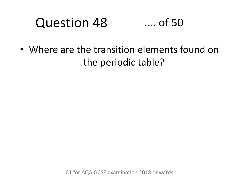#### Question 48 .... of 50

• Where are the transition elements found on the periodic table?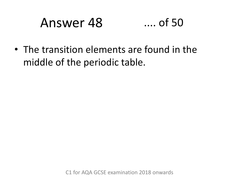### Answer 48 .... of 50

• The transition elements are found in the middle of the periodic table.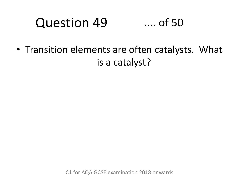#### Question 49 .... of 50

• Transition elements are often catalysts. What is a catalyst?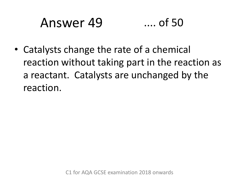### Answer 49 .... of 50

• Catalysts change the rate of a chemical reaction without taking part in the reaction as a reactant. Catalysts are unchanged by the reaction.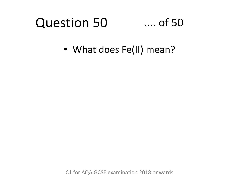#### Question 50 .... of 50

• What does Fe(II) mean?

C1 for AQA GCSE examination 2018 onwards